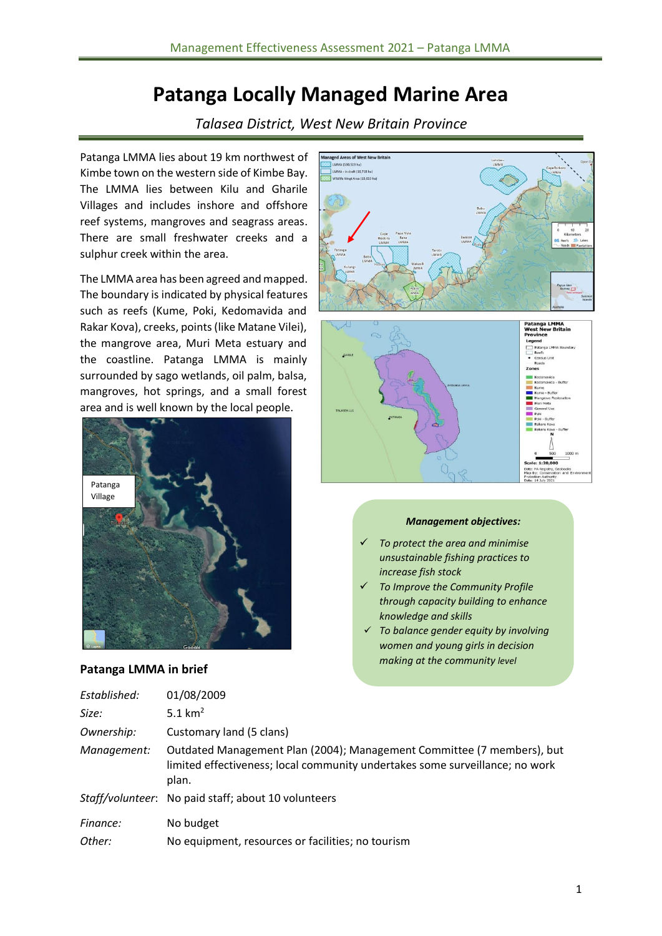# **Patanga Locally Managed Marine Area**

*Talasea District, West New Britain Province*

Patanga LMMA lies about 19 km northwest of Kimbe town on the western side of Kimbe Bay. The LMMA lies between Kilu and Gharile Villages and includes inshore and offshore reef systems, mangroves and seagrass areas. There are small freshwater creeks and a sulphur creek within the area.

The LMMA area has been agreed and mapped. The boundary is indicated by physical features such as reefs (Kume, Poki, Kedomavida and Rakar Kova), creeks, points (like Matane Vilei), the mangrove area, Muri Meta estuary and the coastline. Patanga LMMA is mainly surrounded by sago wetlands, oil palm, balsa, mangroves, hot springs, and a small forest area and is well known by the local people.



#### **Patanga LMMA in brief**



#### *Management objectives:*

- ✓ *To protect the area and minimise unsustainable fishing practices to increase fish stock*
- ✓ *To Improve the Community Profile through capacity building to enhance knowledge and skills*
- ✓ *To balance gender equity by involving women and young girls in decision making at the community level*

| Established: | 01/08/2009                                                                                                                                                      |
|--------------|-----------------------------------------------------------------------------------------------------------------------------------------------------------------|
| Size:        | 5.1 $km2$                                                                                                                                                       |
| Ownership:   | Customary land (5 clans)                                                                                                                                        |
| Management:  | Outdated Management Plan (2004); Management Committee (7 members), but<br>limited effectiveness; local community undertakes some surveillance; no work<br>plan. |
|              | Staff/volunteer: No paid staff; about 10 volunteers                                                                                                             |
| Finance:     | No budget                                                                                                                                                       |
| Other:       | No equipment, resources or facilities; no tourism                                                                                                               |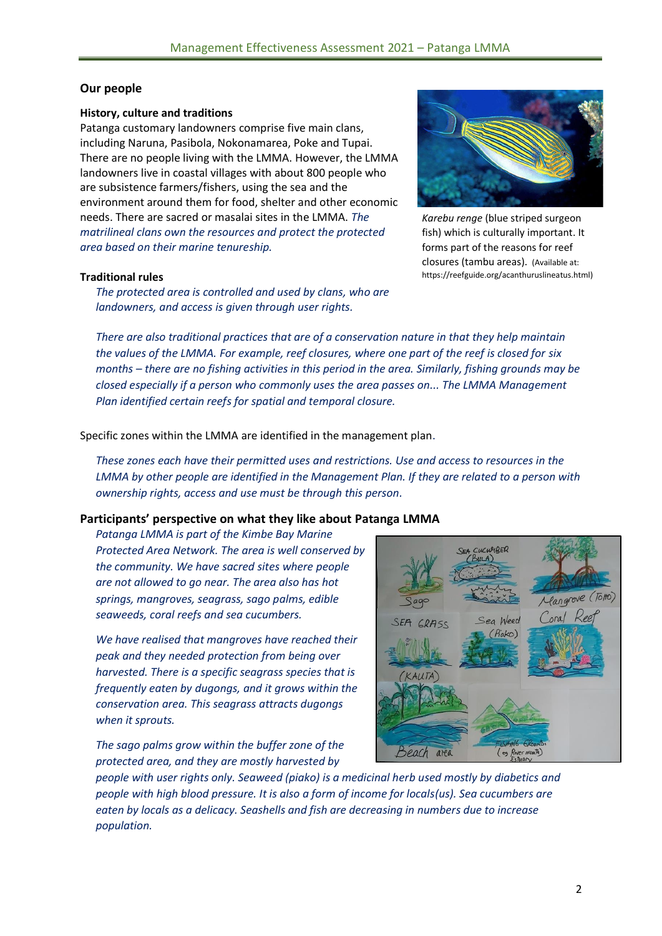#### **Our people**

#### **History, culture and traditions**

Patanga customary landowners comprise five main clans, including Naruna, Pasibola, Nokonamarea, Poke and Tupai. There are no people living with the LMMA. However, the LMMA landowners live in coastal villages with about 800 people who are subsistence farmers/fishers, using the sea and the environment around them for food, shelter and other economic needs. There are sacred or masalai sites in the LMMA. *The matrilineal clans own the resources and protect the protected area based on their marine tenureship.* 

#### **Traditional rules**

*The protected area is controlled and used by clans, who are landowners, and access is given through user rights.*



*Karebu renge* (blue striped surgeon fish) which is culturally important. It forms part of the reasons for reef closures (tambu areas). (Available at: https://reefguide.org/acanthuruslineatus.html)

*There are also traditional practices that are of a conservation nature in that they help maintain the values of the LMMA. For example, reef closures, where one part of the reef is closed for six months – there are no fishing activities in this period in the area. Similarly, fishing grounds may be closed especially if a person who commonly uses the area passes on... The LMMA Management Plan identified certain reefs for spatial and temporal closure.*

Specific zones within the LMMA are identified in the management plan.

*These zones each have their permitted uses and restrictions. Use and access to resources in the LMMA by other people are identified in the Management Plan. If they are related to a person with ownership rights, access and use must be through this person.*

#### **Participants' perspective on what they like about Patanga LMMA**

*Patanga LMMA is part of the Kimbe Bay Marine Protected Area Network. The area is well conserved by the community. We have sacred sites where people are not allowed to go near. The area also has hot springs, mangroves, seagrass, sago palms, edible seaweeds, coral reefs and sea cucumbers.* 

*We have realised that mangroves have reached their peak and they needed protection from being over harvested. There is a specific seagrass species that is frequently eaten by dugongs, and it grows within the conservation area. This seagrass attracts dugongs when it sprouts.* 

*The sago palms grow within the buffer zone of the protected area, and they are mostly harvested by* 



*people with user rights only. Seaweed (piako) is a medicinal herb used mostly by diabetics and people with high blood pressure. It is also a form of income for locals(us). Sea cucumbers are eaten by locals as a delicacy. Seashells and fish are decreasing in numbers due to increase population.*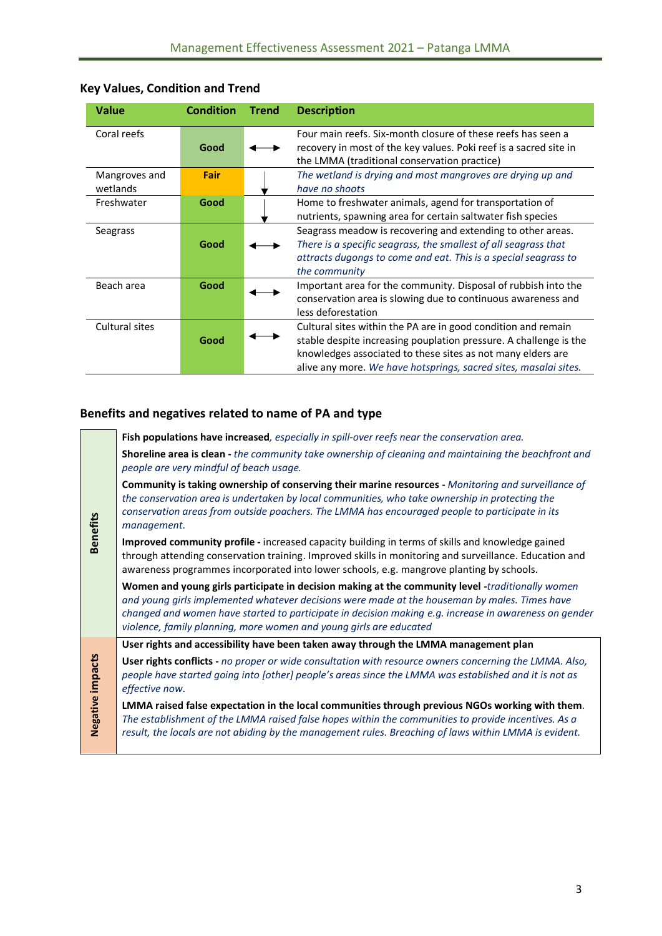| <b>Value</b>              | <b>Condition</b> | <b>Trend</b> | <b>Description</b>                                                                                                                                                                                                                                                    |
|---------------------------|------------------|--------------|-----------------------------------------------------------------------------------------------------------------------------------------------------------------------------------------------------------------------------------------------------------------------|
| Coral reefs               | Good             |              | Four main reefs. Six-month closure of these reefs has seen a<br>recovery in most of the key values. Poki reef is a sacred site in<br>the LMMA (traditional conservation practice)                                                                                     |
| Mangroves and<br>wetlands | Fair             |              | The wetland is drying and most mangroves are drying up and<br>have no shoots                                                                                                                                                                                          |
| Freshwater                | Good             |              | Home to freshwater animals, agend for transportation of<br>nutrients, spawning area for certain saltwater fish species                                                                                                                                                |
| Seagrass                  | Good             |              | Seagrass meadow is recovering and extending to other areas.<br>There is a specific seagrass, the smallest of all seagrass that<br>attracts dugongs to come and eat. This is a special seagrass to<br>the community                                                    |
| Beach area                | Good             |              | Important area for the community. Disposal of rubbish into the<br>conservation area is slowing due to continuous awareness and<br>less deforestation                                                                                                                  |
| Cultural sites            | Good             |              | Cultural sites within the PA are in good condition and remain<br>stable despite increasing pouplation pressure. A challenge is the<br>knowledges associated to these sites as not many elders are<br>alive any more. We have hotsprings, sacred sites, masalai sites. |

#### **Key Values, Condition and Trend**

#### **Benefits and negatives related to name of PA and type**

**Benefits**

**Negative impacts**

Negative impacts

**Fish populations have increased***, especially in spill-over reefs near the conservation area.*  **Shoreline area is clean -** *the community take ownership of cleaning and maintaining the beachfront and people are very mindful of beach usage.* 

**Community is taking ownership of conserving their marine resources -** *Monitoring and surveillance of the conservation area is undertaken by local communities, who take ownership in protecting the conservation areas from outside poachers. The LMMA has encouraged people to participate in its management.*

**Improved community profile -** increased capacity building in terms of skills and knowledge gained through attending conservation training. Improved skills in monitoring and surveillance. Education and awareness programmes incorporated into lower schools, e.g. mangrove planting by schools.

**Women and young girls participate in decision making at the community level -***traditionally women and young girls implemented whatever decisions were made at the houseman by males. Times have changed and women have started to participate in decision making e.g. increase in awareness on gender violence, family planning, more women and young girls are educated*

**User rights and accessibility have been taken away through the LMMA management plan**

**User rights conflicts -** *no proper or wide consultation with resource owners concerning the LMMA. Also, people have started going into [other] people's areas since the LMMA was established and it is not as effective now*.

**LMMA raised false expectation in the local communities through previous NGOs working with them***. The establishment of the LMMA raised false hopes within the communities to provide incentives. As a result, the locals are not abiding by the management rules. Breaching of laws within LMMA is evident.*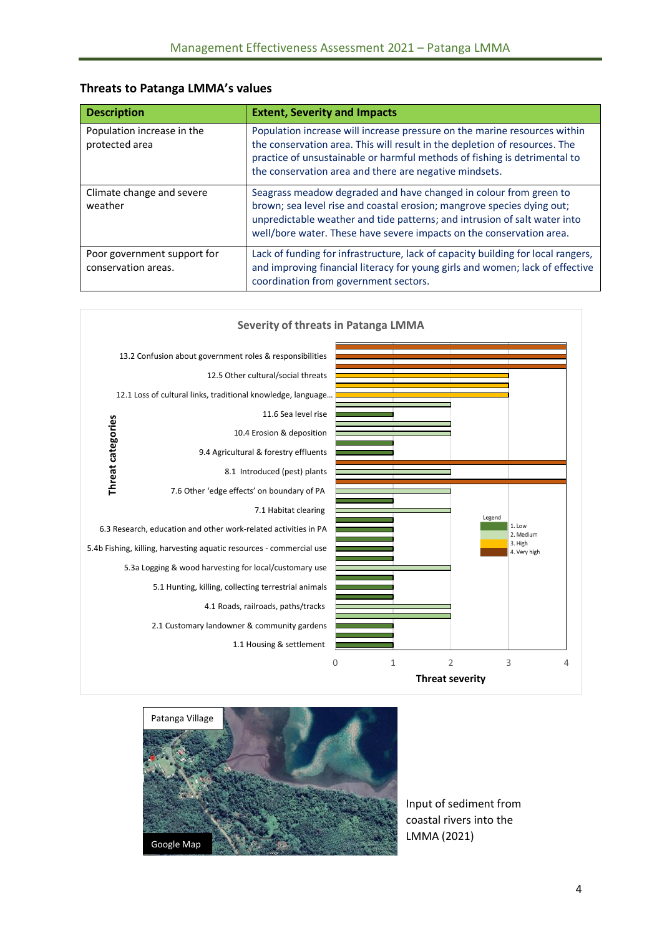#### **Threats to Patanga LMMA's values**

| <b>Description</b>                                 | <b>Extent, Severity and Impacts</b>                                                                                                                                                                                                                                                              |
|----------------------------------------------------|--------------------------------------------------------------------------------------------------------------------------------------------------------------------------------------------------------------------------------------------------------------------------------------------------|
| Population increase in the<br>protected area       | Population increase will increase pressure on the marine resources within<br>the conservation area. This will result in the depletion of resources. The<br>practice of unsustainable or harmful methods of fishing is detrimental to<br>the conservation area and there are negative mindsets.   |
| Climate change and severe<br>weather               | Seagrass meadow degraded and have changed in colour from green to<br>brown; sea level rise and coastal erosion; mangrove species dying out;<br>unpredictable weather and tide patterns; and intrusion of salt water into<br>well/bore water. These have severe impacts on the conservation area. |
| Poor government support for<br>conservation areas. | Lack of funding for infrastructure, lack of capacity building for local rangers,<br>and improving financial literacy for young girls and women; lack of effective<br>coordination from government sectors.                                                                                       |





Input of sediment from coastal rivers into the LMMA (2021)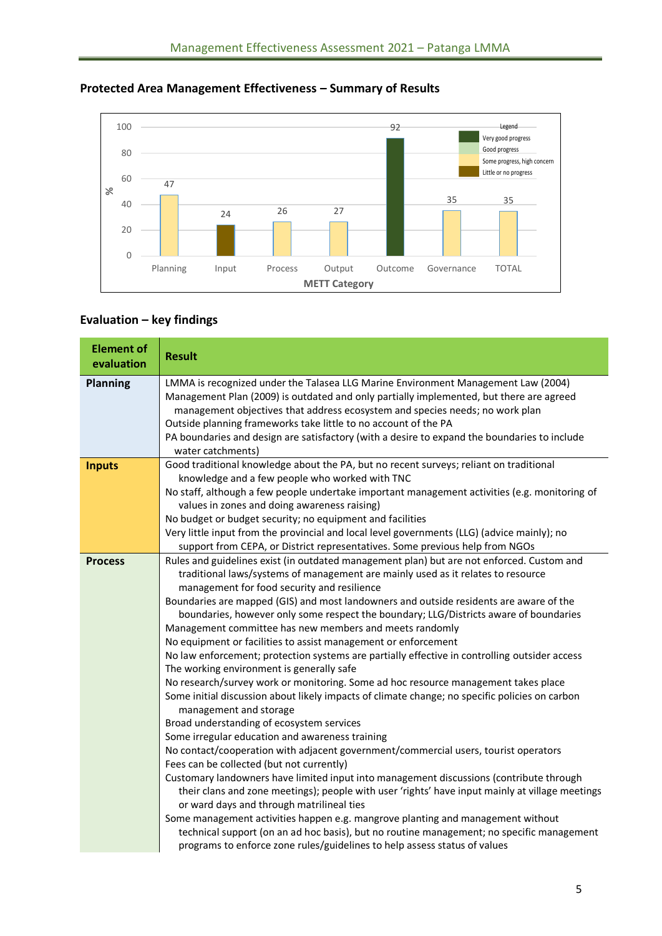

## **Protected Area Management Effectiveness – Summary of Results**

## **Evaluation – key findings**

| <b>Element of</b><br>evaluation | <b>Result</b>                                                                                                                                                                                                                                                                                                                                                                                                                                                                                                                                                                                                                                                                                                                                                                                                                                                                                                                                                                                                                                                                                                                                                                                                                                                                                                                                                                                                                                                                                                                                                                                                                                            |
|---------------------------------|----------------------------------------------------------------------------------------------------------------------------------------------------------------------------------------------------------------------------------------------------------------------------------------------------------------------------------------------------------------------------------------------------------------------------------------------------------------------------------------------------------------------------------------------------------------------------------------------------------------------------------------------------------------------------------------------------------------------------------------------------------------------------------------------------------------------------------------------------------------------------------------------------------------------------------------------------------------------------------------------------------------------------------------------------------------------------------------------------------------------------------------------------------------------------------------------------------------------------------------------------------------------------------------------------------------------------------------------------------------------------------------------------------------------------------------------------------------------------------------------------------------------------------------------------------------------------------------------------------------------------------------------------------|
| <b>Planning</b>                 | LMMA is recognized under the Talasea LLG Marine Environment Management Law (2004)<br>Management Plan (2009) is outdated and only partially implemented, but there are agreed<br>management objectives that address ecosystem and species needs; no work plan<br>Outside planning frameworks take little to no account of the PA<br>PA boundaries and design are satisfactory (with a desire to expand the boundaries to include<br>water catchments)                                                                                                                                                                                                                                                                                                                                                                                                                                                                                                                                                                                                                                                                                                                                                                                                                                                                                                                                                                                                                                                                                                                                                                                                     |
| <b>Inputs</b>                   | Good traditional knowledge about the PA, but no recent surveys; reliant on traditional<br>knowledge and a few people who worked with TNC<br>No staff, although a few people undertake important management activities (e.g. monitoring of<br>values in zones and doing awareness raising)<br>No budget or budget security; no equipment and facilities<br>Very little input from the provincial and local level governments (LLG) (advice mainly); no<br>support from CEPA, or District representatives. Some previous help from NGOs                                                                                                                                                                                                                                                                                                                                                                                                                                                                                                                                                                                                                                                                                                                                                                                                                                                                                                                                                                                                                                                                                                                    |
| <b>Process</b>                  | Rules and guidelines exist (in outdated management plan) but are not enforced. Custom and<br>traditional laws/systems of management are mainly used as it relates to resource<br>management for food security and resilience<br>Boundaries are mapped (GIS) and most landowners and outside residents are aware of the<br>boundaries, however only some respect the boundary; LLG/Districts aware of boundaries<br>Management committee has new members and meets randomly<br>No equipment or facilities to assist management or enforcement<br>No law enforcement; protection systems are partially effective in controlling outsider access<br>The working environment is generally safe<br>No research/survey work or monitoring. Some ad hoc resource management takes place<br>Some initial discussion about likely impacts of climate change; no specific policies on carbon<br>management and storage<br>Broad understanding of ecosystem services<br>Some irregular education and awareness training<br>No contact/cooperation with adjacent government/commercial users, tourist operators<br>Fees can be collected (but not currently)<br>Customary landowners have limited input into management discussions (contribute through<br>their clans and zone meetings); people with user 'rights' have input mainly at village meetings<br>or ward days and through matrilineal ties<br>Some management activities happen e.g. mangrove planting and management without<br>technical support (on an ad hoc basis), but no routine management; no specific management<br>programs to enforce zone rules/guidelines to help assess status of values |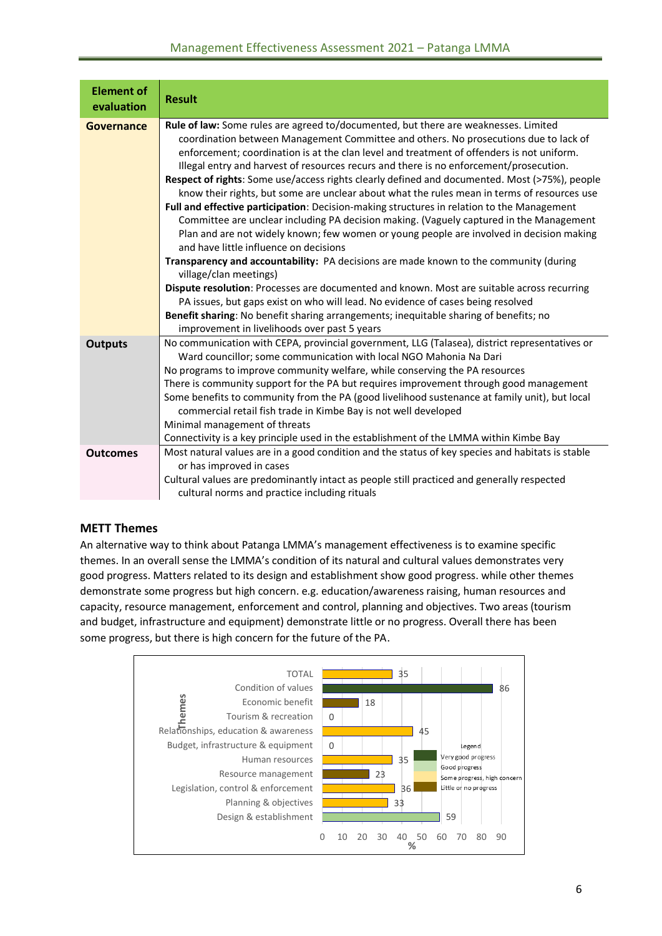#### Management Effectiveness Assessment 2021 – Patanga LMMA

| <b>Element of</b><br>evaluation | <b>Result</b>                                                                                                                                                                                                                                                                                                                                                                                                                                                                                                                                                                                                                                                                                                                                                                                                                                                                                                                                                                                                                                                                                                                                                                                                                                                                                                                                  |
|---------------------------------|------------------------------------------------------------------------------------------------------------------------------------------------------------------------------------------------------------------------------------------------------------------------------------------------------------------------------------------------------------------------------------------------------------------------------------------------------------------------------------------------------------------------------------------------------------------------------------------------------------------------------------------------------------------------------------------------------------------------------------------------------------------------------------------------------------------------------------------------------------------------------------------------------------------------------------------------------------------------------------------------------------------------------------------------------------------------------------------------------------------------------------------------------------------------------------------------------------------------------------------------------------------------------------------------------------------------------------------------|
| <b>Governance</b>               | Rule of law: Some rules are agreed to/documented, but there are weaknesses. Limited<br>coordination between Management Committee and others. No prosecutions due to lack of<br>enforcement; coordination is at the clan level and treatment of offenders is not uniform.<br>Illegal entry and harvest of resources recurs and there is no enforcement/prosecution.<br>Respect of rights: Some use/access rights clearly defined and documented. Most (>75%), people<br>know their rights, but some are unclear about what the rules mean in terms of resources use<br>Full and effective participation: Decision-making structures in relation to the Management<br>Committee are unclear including PA decision making. (Vaguely captured in the Management<br>Plan and are not widely known; few women or young people are involved in decision making<br>and have little influence on decisions<br>Transparency and accountability: PA decisions are made known to the community (during<br>village/clan meetings)<br>Dispute resolution: Processes are documented and known. Most are suitable across recurring<br>PA issues, but gaps exist on who will lead. No evidence of cases being resolved<br>Benefit sharing: No benefit sharing arrangements; inequitable sharing of benefits; no<br>improvement in livelihoods over past 5 years |
| <b>Outputs</b>                  | No communication with CEPA, provincial government, LLG (Talasea), district representatives or<br>Ward councillor; some communication with local NGO Mahonia Na Dari<br>No programs to improve community welfare, while conserving the PA resources<br>There is community support for the PA but requires improvement through good management<br>Some benefits to community from the PA (good livelihood sustenance at family unit), but local<br>commercial retail fish trade in Kimbe Bay is not well developed<br>Minimal management of threats<br>Connectivity is a key principle used in the establishment of the LMMA within Kimbe Bay                                                                                                                                                                                                                                                                                                                                                                                                                                                                                                                                                                                                                                                                                                    |
| <b>Outcomes</b>                 | Most natural values are in a good condition and the status of key species and habitats is stable<br>or has improved in cases<br>Cultural values are predominantly intact as people still practiced and generally respected<br>cultural norms and practice including rituals                                                                                                                                                                                                                                                                                                                                                                                                                                                                                                                                                                                                                                                                                                                                                                                                                                                                                                                                                                                                                                                                    |

#### **METT Themes**

An alternative way to think about Patanga LMMA's management effectiveness is to examine specific themes. In an overall sense the LMMA's condition of its natural and cultural values demonstrates very good progress. Matters related to its design and establishment show good progress. while other themes demonstrate some progress but high concern. e.g. education/awareness raising, human resources and capacity, resource management, enforcement and control, planning and objectives. Two areas (tourism and budget, infrastructure and equipment) demonstrate little or no progress. Overall there has been some progress, but there is high concern for the future of the PA.